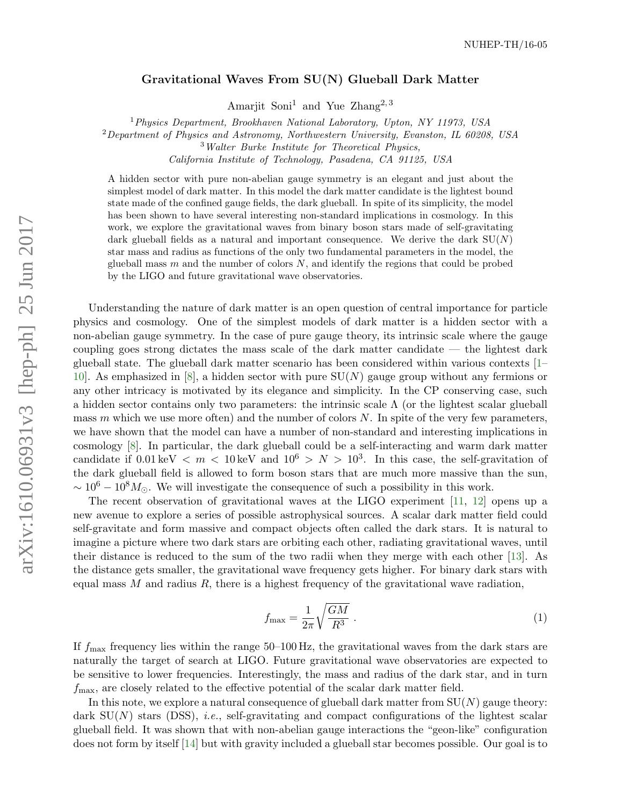## Gravitational Waves From SU(N) Glueball Dark Matter

Amarjit Soni<sup>1</sup> and Yue Zhang<sup>2, 3</sup>

<sup>1</sup> Physics Department, Brookhaven National Laboratory, Upton, NY 11973, USA

<sup>2</sup>Department of Physics and Astronomy, Northwestern University, Evanston, IL 60208, USA

<sup>3</sup>Walter Burke Institute for Theoretical Physics,

California Institute of Technology, Pasadena, CA 91125, USA

A hidden sector with pure non-abelian gauge symmetry is an elegant and just about the simplest model of dark matter. In this model the dark matter candidate is the lightest bound state made of the confined gauge fields, the dark glueball. In spite of its simplicity, the model has been shown to have several interesting non-standard implications in cosmology. In this work, we explore the gravitational waves from binary boson stars made of self-gravitating dark glueball fields as a natural and important consequence. We derive the dark  $SU(N)$ star mass and radius as functions of the only two fundamental parameters in the model, the glueball mass  $m$  and the number of colors  $N$ , and identify the regions that could be probed by the LIGO and future gravitational wave observatories.

Understanding the nature of dark matter is an open question of central importance for particle physics and cosmology. One of the simplest models of dark matter is a hidden sector with a non-abelian gauge symmetry. In the case of pure gauge theory, its intrinsic scale where the gauge coupling goes strong dictates the mass scale of the dark matter candidate — the lightest dark glueball state. The glueball dark matter scenario has been considered within various contexts [\[1–](#page-8-0) [10\]](#page-9-0). As emphasized in [\[8\]](#page-9-1), a hidden sector with pure  $SU(N)$  gauge group without any fermions or any other intricacy is motivated by its elegance and simplicity. In the CP conserving case, such a hidden sector contains only two parameters: the intrinsic scale  $\Lambda$  (or the lightest scalar glueball mass  $m$  which we use more often) and the number of colors  $N$ . In spite of the very few parameters, we have shown that the model can have a number of non-standard and interesting implications in cosmology [\[8\]](#page-9-1). In particular, the dark glueball could be a self-interacting and warm dark matter candidate if  $0.01 \,\text{keV} < m < 10 \,\text{keV}$  and  $10^6 > N > 10^3$ . In this case, the self-gravitation of the dark glueball field is allowed to form boson stars that are much more massive than the sun,  $\sim 10^6 - 10^8 M_{\odot}$ . We will investigate the consequence of such a possibility in this work.

The recent observation of gravitational waves at the LIGO experiment  $[11, 12]$  $[11, 12]$  $[11, 12]$  opens up a new avenue to explore a series of possible astrophysical sources. A scalar dark matter field could self-gravitate and form massive and compact objects often called the dark stars. It is natural to imagine a picture where two dark stars are orbiting each other, radiating gravitational waves, until their distance is reduced to the sum of the two radii when they merge with each other [\[13\]](#page-9-4). As the distance gets smaller, the gravitational wave frequency gets higher. For binary dark stars with equal mass  $M$  and radius  $R$ , there is a highest frequency of the gravitational wave radiation,

<span id="page-0-0"></span>
$$
f_{\text{max}} = \frac{1}{2\pi} \sqrt{\frac{GM}{R^3}} \tag{1}
$$

If  $f_{\text{max}}$  frequency lies within the range 50–100 Hz, the gravitational waves from the dark stars are naturally the target of search at LIGO. Future gravitational wave observatories are expected to be sensitive to lower frequencies. Interestingly, the mass and radius of the dark star, and in turn  $f_{\text{max}}$ , are closely related to the effective potential of the scalar dark matter field.

In this note, we explore a natural consequence of glueball dark matter from  $SU(N)$  gauge theory: dark  $SU(N)$  stars (DSS), *i.e.*, self-gravitating and compact configurations of the lightest scalar glueball field. It was shown that with non-abelian gauge interactions the "geon-like" configuration does not form by itself [\[14\]](#page-9-5) but with gravity included a glueball star becomes possible. Our goal is to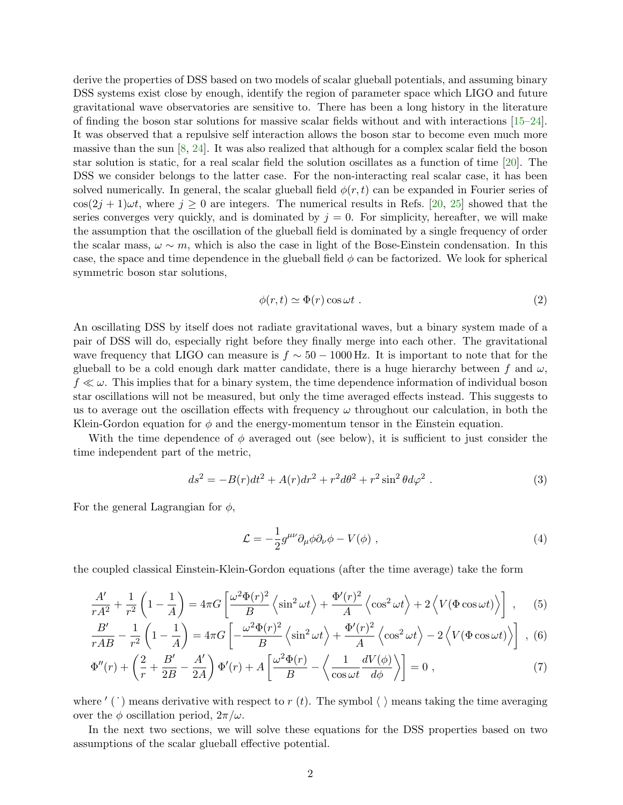derive the properties of DSS based on two models of scalar glueball potentials, and assuming binary DSS systems exist close by enough, identify the region of parameter space which LIGO and future gravitational wave observatories are sensitive to. There has been a long history in the literature of finding the boson star solutions for massive scalar fields without and with interactions [\[15–](#page-9-6)[24\]](#page-9-7). It was observed that a repulsive self interaction allows the boson star to become even much more massive than the sun  $[8, 24]$  $[8, 24]$  $[8, 24]$ . It was also realized that although for a complex scalar field the boson star solution is static, for a real scalar field the solution oscillates as a function of time [\[20\]](#page-9-8). The DSS we consider belongs to the latter case. For the non-interacting real scalar case, it has been solved numerically. In general, the scalar glueball field  $\phi(r, t)$  can be expanded in Fourier series of  $\cos(2j + 1)\omega t$ , where  $j \ge 0$  are integers. The numerical results in Refs. [\[20,](#page-9-8) [25\]](#page-9-9) showed that the series converges very quickly, and is dominated by  $j = 0$ . For simplicity, hereafter, we will make the assumption that the oscillation of the glueball field is dominated by a single frequency of order the scalar mass,  $\omega \sim m$ , which is also the case in light of the Bose-Einstein condensation. In this case, the space and time dependence in the glueball field  $\phi$  can be factorized. We look for spherical symmetric boson star solutions,

$$
\phi(r,t) \simeq \Phi(r) \cos \omega t \tag{2}
$$

An oscillating DSS by itself does not radiate gravitational waves, but a binary system made of a pair of DSS will do, especially right before they finally merge into each other. The gravitational wave frequency that LIGO can measure is  $f \sim 50 - 1000$  Hz. It is important to note that for the glueball to be a cold enough dark matter candidate, there is a huge hierarchy between f and  $\omega$ ,  $f \ll \omega$ . This implies that for a binary system, the time dependence information of individual boson star oscillations will not be measured, but only the time averaged effects instead. This suggests to us to average out the oscillation effects with frequency  $\omega$  throughout our calculation, in both the Klein-Gordon equation for  $\phi$  and the energy-momentum tensor in the Einstein equation.

With the time dependence of  $\phi$  averaged out (see below), it is sufficient to just consider the time independent part of the metric,

$$
ds^{2} = -B(r)dt^{2} + A(r)dr^{2} + r^{2}d\theta^{2} + r^{2}\sin^{2}\theta d\varphi^{2}.
$$
 (3)

For the general Lagrangian for  $\phi$ ,

$$
\mathcal{L} = -\frac{1}{2}g^{\mu\nu}\partial_{\mu}\phi\partial_{\nu}\phi - V(\phi) , \qquad (4)
$$

the coupled classical Einstein-Klein-Gordon equations (after the time average) take the form

<span id="page-1-0"></span>
$$
\frac{A'}{rA^2} + \frac{1}{r^2} \left( 1 - \frac{1}{A} \right) = 4\pi G \left[ \frac{\omega^2 \Phi(r)^2}{B} \left\langle \sin^2 \omega t \right\rangle + \frac{\Phi'(r)^2}{A} \left\langle \cos^2 \omega t \right\rangle + 2 \left\langle V(\Phi \cos \omega t) \right\rangle \right] , \tag{5}
$$

$$
\frac{B'}{rAB} - \frac{1}{r^2} \left( 1 - \frac{1}{A} \right) = 4\pi G \left[ -\frac{\omega^2 \Phi(r)^2}{B} \left\langle \sin^2 \omega t \right\rangle + \frac{\Phi'(r)^2}{A} \left\langle \cos^2 \omega t \right\rangle - 2 \left\langle V(\Phi \cos \omega t) \right\rangle \right] , \tag{6}
$$

$$
\Phi''(r) + \left(\frac{2}{r} + \frac{B'}{2B} - \frac{A'}{2A}\right)\Phi'(r) + A\left[\frac{\omega^2\Phi(r)}{B} - \left\langle \frac{1}{\cos\omega t}\frac{dV(\phi)}{d\phi} \right\rangle\right] = 0,
$$
\n(7)

where  $\prime$  ( $\dot{\phantom{a}}$ ) means derivative with respect to r (t). The symbol  $\langle \phantom{a} \rangle$  means taking the time averaging over the  $\phi$  oscillation period,  $2\pi/\omega$ .

In the next two sections, we will solve these equations for the DSS properties based on two assumptions of the scalar glueball effective potential.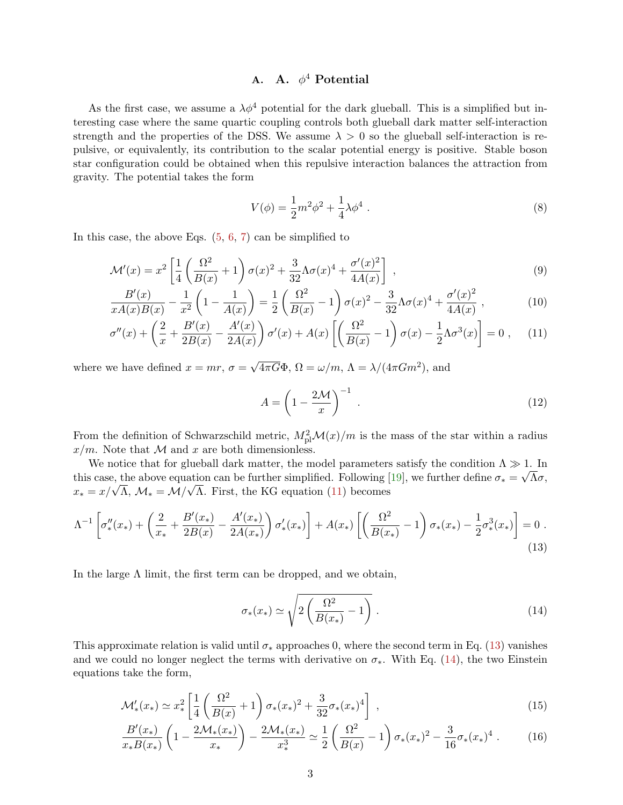## A. A.  $\phi^4$  Potential

As the first case, we assume a  $\lambda \phi^4$  potential for the dark glueball. This is a simplified but interesting case where the same quartic coupling controls both glueball dark matter self-interaction strength and the properties of the DSS. We assume  $\lambda > 0$  so the glueball self-interaction is repulsive, or equivalently, its contribution to the scalar potential energy is positive. Stable boson star configuration could be obtained when this repulsive interaction balances the attraction from gravity. The potential takes the form

<span id="page-2-4"></span>
$$
V(\phi) = \frac{1}{2}m^2\phi^2 + \frac{1}{4}\lambda\phi^4.
$$
 (8)

In this case, the above Eqs.  $(5, 6, 7)$  $(5, 6, 7)$  $(5, 6, 7)$  $(5, 6, 7)$  $(5, 6, 7)$  can be simplified to

<span id="page-2-0"></span>
$$
\mathcal{M}'(x) = x^2 \left[ \frac{1}{4} \left( \frac{\Omega^2}{B(x)} + 1 \right) \sigma(x)^2 + \frac{3}{32} \Lambda \sigma(x)^4 + \frac{\sigma'(x)^2}{4A(x)} \right] , \qquad (9)
$$

$$
\frac{B'(x)}{xA(x)B(x)} - \frac{1}{x^2} \left(1 - \frac{1}{A(x)}\right) = \frac{1}{2} \left(\frac{\Omega^2}{B(x)} - 1\right) \sigma(x)^2 - \frac{3}{32} \Lambda \sigma(x)^4 + \frac{\sigma'(x)^2}{4A(x)},\tag{10}
$$

$$
\sigma''(x) + \left(\frac{2}{x} + \frac{B'(x)}{2B(x)} - \frac{A'(x)}{2A(x)}\right)\sigma'(x) + A(x)\left[\left(\frac{\Omega^2}{B(x)} - 1\right)\sigma(x) - \frac{1}{2}\Lambda\sigma^3(x)\right] = 0\;, \tag{11}
$$

where we have defined  $x = mr$ ,  $\sigma =$  $\sqrt{4\pi G}\Phi$ ,  $\Omega = \omega/m$ ,  $\Lambda = \lambda/(4\pi Gm^2)$ , and

$$
A = \left(1 - \frac{2\mathcal{M}}{x}\right)^{-1} \tag{12}
$$

From the definition of Schwarzschild metric,  $M_{\text{pl}}^2 \mathcal{M}(x)/m$  is the mass of the star within a radius  $x/m$ . Note that M and x are both dimensionless.

We notice that for glueball dark matter, the model parameters satisfy the condition  $\Lambda \gg 1$ . In this case, the above equation can be further simplified. Following [\[19\]](#page-9-10), we further define  $\sigma_* = \sqrt{\Lambda} \sigma$ , this case, the above equation can be further simplified. Following [ $x_* = x/\sqrt{\Lambda}$ ,  $\mathcal{M}_* = \mathcal{M}/\sqrt{\Lambda}$ . First, the KG equation [\(11\)](#page-2-0) becomes

<span id="page-2-1"></span>
$$
\Lambda^{-1} \left[ \sigma''_*(x_*) + \left( \frac{2}{x_*} + \frac{B'(x_*)}{2B(x)} - \frac{A'(x_*)}{2A(x_*)} \right) \sigma'_*(x_*) \right] + A(x_*) \left[ \left( \frac{\Omega^2}{B(x_*)} - 1 \right) \sigma_*(x_*) - \frac{1}{2} \sigma^3_*(x_*) \right] = 0 \tag{13}
$$

In the large  $\Lambda$  limit, the first term can be dropped, and we obtain,

<span id="page-2-2"></span>
$$
\sigma_*(x_*) \simeq \sqrt{2\left(\frac{\Omega^2}{B(x_*)} - 1\right)}\,. \tag{14}
$$

This approximate relation is valid until  $\sigma_*$  approaches 0, where the second term in Eq. [\(13\)](#page-2-1) vanishes and we could no longer neglect the terms with derivative on  $\sigma_*$ . With Eq. [\(14\)](#page-2-2), the two Einstein equations take the form,

<span id="page-2-3"></span>
$$
\mathcal{M}'_{*}(x_{*}) \simeq x_{*}^{2} \left[ \frac{1}{4} \left( \frac{\Omega^{2}}{B(x)} + 1 \right) \sigma_{*}(x_{*})^{2} + \frac{3}{32} \sigma_{*}(x_{*})^{4} \right] , \qquad (15)
$$

$$
\frac{B'(x_*)}{x_* B(x_*)} \left(1 - \frac{2\mathcal{M}_*(x_*)}{x_*}\right) - \frac{2\mathcal{M}_*(x_*)}{x_*^3} \simeq \frac{1}{2} \left(\frac{\Omega^2}{B(x)} - 1\right) \sigma_*(x_*)^2 - \frac{3}{16} \sigma_*(x_*)^4 \ . \tag{16}
$$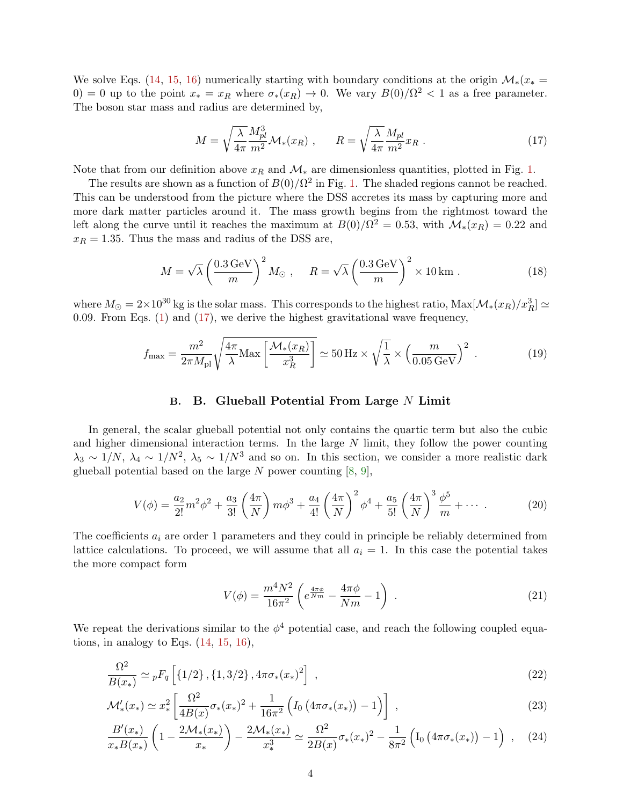We solve Eqs. [\(14,](#page-2-2) [15,](#page-2-3) [16\)](#page-2-3) numerically starting with boundary conditions at the origin  $\mathcal{M}_*(x_*)$ 0) = 0 up to the point  $x_* = x_R$  where  $\sigma_*(x_R) \to 0$ . We vary  $B(0)/\Omega^2 < 1$  as a free parameter. The boson star mass and radius are determined by,

<span id="page-3-0"></span>
$$
M = \sqrt{\frac{\lambda}{4\pi}} \frac{M_{pl}^3}{m^2} \mathcal{M}_*(x_R) , \qquad R = \sqrt{\frac{\lambda}{4\pi}} \frac{M_{pl}}{m^2} x_R . \tag{17}
$$

Note that from our definition above  $x_R$  and  $\mathcal{M}_*$  are dimensionless quantities, plotted in Fig. [1.](#page-4-0)

The results are shown as a function of  $B(0)/\Omega^2$  in Fig. [1.](#page-4-0) The shaded regions cannot be reached. This can be understood from the picture where the DSS accretes its mass by capturing more and more dark matter particles around it. The mass growth begins from the rightmost toward the left along the curve until it reaches the maximum at  $B(0)/\Omega^2 = 0.53$ , with  $\mathcal{M}_*(x_R) = 0.22$  and  $x_R = 1.35$ . Thus the mass and radius of the DSS are,

$$
M = \sqrt{\lambda} \left(\frac{0.3 \,\text{GeV}}{m}\right)^2 M_{\odot} , \quad R = \sqrt{\lambda} \left(\frac{0.3 \,\text{GeV}}{m}\right)^2 \times 10 \,\text{km} . \tag{18}
$$

where  $M_\odot=2\times10^{30}$  kg is the solar mass. This corresponds to the highest ratio,  ${\rm Max}[\mathcal{M}_*(x_R)/x_R^3]\simeq$ 0.09. From Eqs. [\(1\)](#page-0-0) and [\(17\)](#page-3-0), we derive the highest gravitational wave frequency,

<span id="page-3-2"></span>
$$
f_{\text{max}} = \frac{m^2}{2\pi M_{\text{pl}}} \sqrt{\frac{4\pi}{\lambda} \text{Max}\left[\frac{\mathcal{M}_*(x_R)}{x_R^3}\right]} \simeq 50 \text{ Hz} \times \sqrt{\frac{1}{\lambda}} \times \left(\frac{m}{0.05 \text{ GeV}}\right)^2 \,. \tag{19}
$$

## B. B. Glueball Potential From Large N Limit

In general, the scalar glueball potential not only contains the quartic term but also the cubic and higher dimensional interaction terms. In the large  $N$  limit, they follow the power counting  $\lambda_3 \sim 1/N$ ,  $\lambda_4 \sim 1/N^2$ ,  $\lambda_5 \sim 1/N^3$  and so on. In this section, we consider a more realistic dark glueball potential based on the large  $N$  power counting  $[8, 9]$  $[8, 9]$  $[8, 9]$ ,

<span id="page-3-3"></span>
$$
V(\phi) = \frac{a_2}{2!}m^2\phi^2 + \frac{a_3}{3!} \left(\frac{4\pi}{N}\right)m\phi^3 + \frac{a_4}{4!} \left(\frac{4\pi}{N}\right)^2\phi^4 + \frac{a_5}{5!} \left(\frac{4\pi}{N}\right)^3\frac{\phi^5}{m} + \cdots
$$
 (20)

The coefficients  $a_i$  are order 1 parameters and they could in principle be reliably determined from lattice calculations. To proceed, we will assume that all  $a_i = 1$ . In this case the potential takes the more compact form

$$
V(\phi) = \frac{m^4 N^2}{16\pi^2} \left( e^{\frac{4\pi\phi}{Nm}} - \frac{4\pi\phi}{Nm} - 1 \right) \,. \tag{21}
$$

We repeat the derivations similar to the  $\phi^4$  potential case, and reach the following coupled equations, in analogy to Eqs.  $(14, 15, 16)$  $(14, 15, 16)$  $(14, 15, 16)$  $(14, 15, 16)$  $(14, 15, 16)$ ,

<span id="page-3-1"></span>
$$
\frac{\Omega^2}{B(x_*)} \simeq {}_pF_q \left[ \{1/2\}, \{1, 3/2\}, 4\pi\sigma_*(x_*)^2 \right] \,, \tag{22}
$$

$$
\mathcal{M}'_*(x_*) \simeq x_*^2 \left[ \frac{\Omega^2}{4B(x)} \sigma_*(x_*)^2 + \frac{1}{16\pi^2} \left( I_0 \left( 4\pi \sigma_*(x_*) \right) - 1 \right) \right] \,, \tag{23}
$$

$$
\frac{B'(x_*)}{x_*B(x_*)}\left(1-\frac{2\mathcal{M}_*(x_*)}{x_*}\right)-\frac{2\mathcal{M}_*(x_*)}{x_*^3}\simeq \frac{\Omega^2}{2B(x)}\sigma_*(x_*)^2-\frac{1}{8\pi^2}\left(I_0\left(4\pi\sigma_*(x_*)\right)-1\right)\;, \tag{24}
$$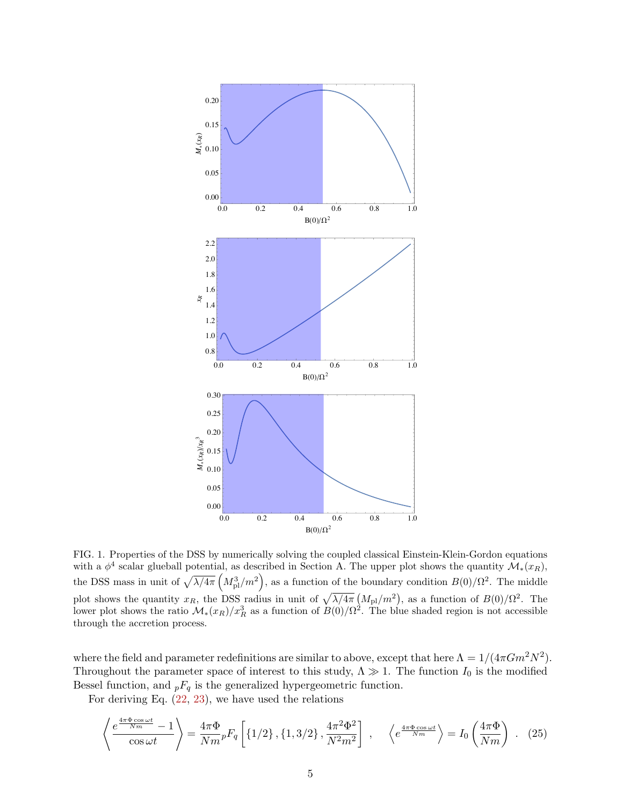

<span id="page-4-0"></span>FIG. 1. Properties of the DSS by numerically solving the coupled classical Einstein-Klein-Gordon equations with a  $\phi^4$  scalar glueball potential, as described in Section A. The upper plot shows the quantity  $\mathcal{M}_*(x_R)$ , the DSS mass in unit of  $\sqrt{\lambda/4\pi} \left(M_{\rm pl}^3/m^2\right)$ , as a function of the boundary condition  $B(0)/\Omega^2$ . The middle plot shows the quantity  $x_R$ , the DSS radius in unit of  $\sqrt{\lambda/4\pi} (M_{\rm pl}/m^2)$ , as a function of  $B(0)/\Omega^2$ . The lower plot shows the ratio  $\mathcal{M}_*(x_R)/x_R^3$  as a function of  $B(0)/\Omega^2$ . The blue shaded region is not accessible through the accretion process.

where the field and parameter redefinitions are similar to above, except that here  $\Lambda = 1/(4\pi G m^2 N^2)$ . Throughout the parameter space of interest to this study,  $\Lambda \gg 1$ . The function  $I_0$  is the modified Bessel function, and  ${}_{p}F_{q}$  is the generalized hypergeometric function.

For deriving Eq.  $(22, 23)$ , we have used the relations

$$
\left\langle \frac{e^{\frac{4\pi\Phi\cos\omega t}{Nm}}-1}{\cos\omega t}\right\rangle = \frac{4\pi\Phi}{Nm} {}_{p}F_{q}\left[\left\{1/2\right\},\left\{1,3/2\right\},\frac{4\pi^{2}\Phi^{2}}{N^{2}m^{2}}\right] ,\quad \left\langle e^{\frac{4\pi\Phi\cos\omega t}{Nm}}\right\rangle = I_{0}\left(\frac{4\pi\Phi}{Nm}\right) . \tag{25}
$$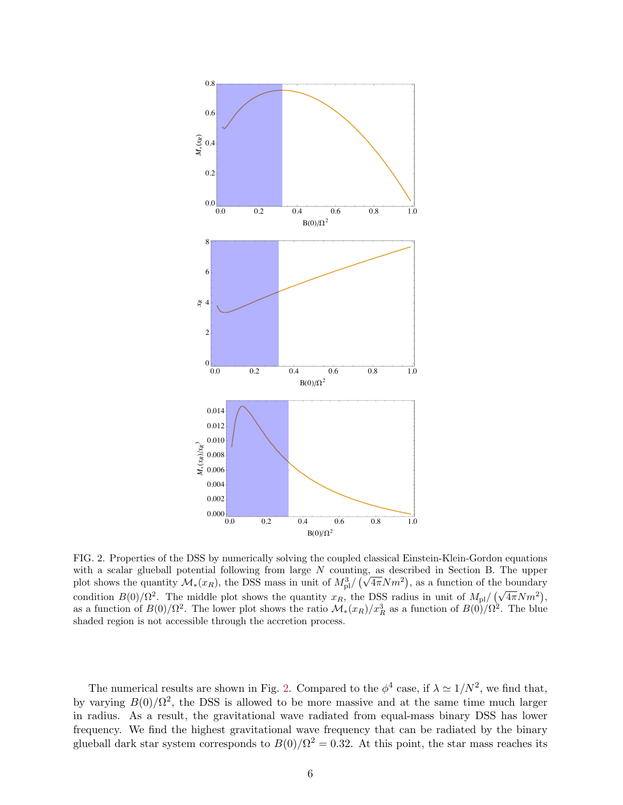

<span id="page-5-0"></span>FIG. 2. Properties of the DSS by numerically solving the coupled classical Einstein-Klein-Gordon equations with a scalar glueball potential following from large  $N$  counting, as described in Section B. The upper plot shows the quantity  $\mathcal{M}_*(x_R)$ , the DSS mass in unit of  $M_{\text{pl}}^3/\left(\sqrt{4\pi}Nm^2\right)$ , as a function of the boundary condition  $B(0)/\Omega^2$ . The middle plot shows the quantity  $x_R$ , the DSS radius in unit of  $M_{\text{pl}}/(\sqrt{4\pi}Nm^2)$ , as a function of  $B(0)/\Omega^2$ . The lower plot shows the ratio  $\mathcal{M}_*(x_R)/x_R^3$  as a function of  $B(0)/\Omega^2$ . The blue shaded region is not accessible through the accretion process.

The numerical results are shown in Fig. 2. Compared to the  $\phi^4$  case, if  $\lambda \simeq 1/N^2$ , we find that, by varying  $B(0)/\Omega^2$ , the DSS is allowed to be more massive and at the same time much larger in radius. As a result, the gravitational wave radiated from equal-mass binary DSS has lower frequency. We find the highest gravitational wave frequency that can be radiated by the binary glueball dark star system corresponds to  $B(0)/\Omega^2 = 0.32$ . At this point, the star mass reaches its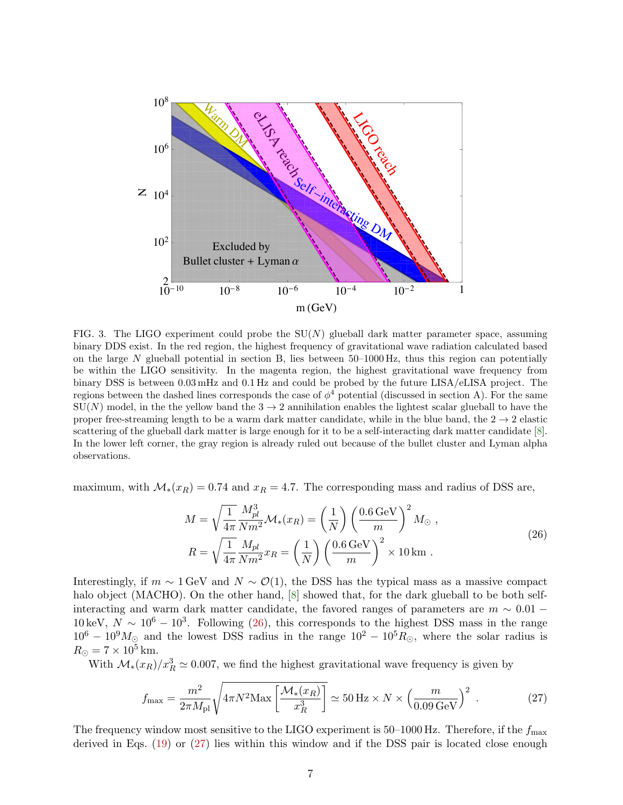

<span id="page-6-2"></span>FIG. 3. The LIGO experiment could probe the  $SU(N)$  glueball dark matter parameter space, assuming binary DDS exist. In the red region, the highest frequency of gravitational wave radiation calculated based on the large N glueball potential in section B, lies between  $50-1000$  Hz, thus this region can potentially be within the LIGO sensitivity. In the magenta region, the highest gravitational wave frequency from binary DSS is between 0.03 mHz and 0.1 Hz and could be probed by the future LISA/eLISA project. The regions between the dashed lines corresponds the case of  $\phi^4$  potential (discussed in section A). For the same  $SU(N)$  model, in the the yellow band the  $3 \rightarrow 2$  annihilation enables the lightest scalar glueball to have the proper free-streaming length to be a warm dark matter candidate, while in the blue band, the  $2 \rightarrow 2$  elastic scattering of the glueball dark matter is large enough for it to be a self-interacting dark matter candidate  $[8]$ . In the lower left corner, the gray region is already ruled out because of the bullet cluster and Lyman alpha observations.

maximum, with  $\mathcal{M}_{*}(x_R) = 0.74$  and  $x_R = 4.7$ . The corresponding mass and radius of DSS are,

<span id="page-6-0"></span>
$$
M = \sqrt{\frac{1}{4\pi}} \frac{M_{pl}^3}{N m^2} \mathcal{M}_*(x_R) = \left(\frac{1}{N}\right) \left(\frac{0.6 \,\text{GeV}}{m}\right)^2 M_{\odot} ,
$$
  

$$
R = \sqrt{\frac{1}{4\pi}} \frac{M_{pl}}{N m^2} x_R = \left(\frac{1}{N}\right) \left(\frac{0.6 \,\text{GeV}}{m}\right)^2 \times 10 \,\text{km} .
$$
 (26)

Interestingly, if  $m \sim 1$  GeV and  $N \sim \mathcal{O}(1)$ , the DSS has the typical mass as a massive compact halo object (MACHO). On the other hand, [8] showed that, for the dark glueball to be both selfinteracting and warm dark matter candidate, the favored ranges of parameters are  $m \sim 0.01$ 10 keV,  $N \sim 10^6 - 10^3$ . Following (26), this corresponds to the highest DSS mass in the range  $10^6 - 10^9 M_{\odot}$  and the lowest DSS radius in the range  $10^2 - 10^5 R_{\odot}$ , where the solar radius is  $R_{\odot} = 7 \times 10^5$  km.

With  $\mathcal{M}_*(x_R)/x_R^3 \simeq 0.007$ , we find the highest gravitational wave frequency is given by

<span id="page-6-1"></span>
$$
f_{\text{max}} = \frac{m^2}{2\pi M_{\text{pl}}} \sqrt{4\pi N^2 \text{Max}\left[\frac{\mathcal{M}_*(x_R)}{x_R^3}\right]} \simeq 50 \text{ Hz} \times N \times \left(\frac{m}{0.09 \text{ GeV}}\right)^2 \,. \tag{27}
$$

The frequency window most sensitive to the LIGO experiment is  $50-1000$  Hz. Therefore, if the  $f_{\text{max}}$ derived in Eqs.  $(19)$  or  $(27)$  lies within this window and if the DSS pair is located close enough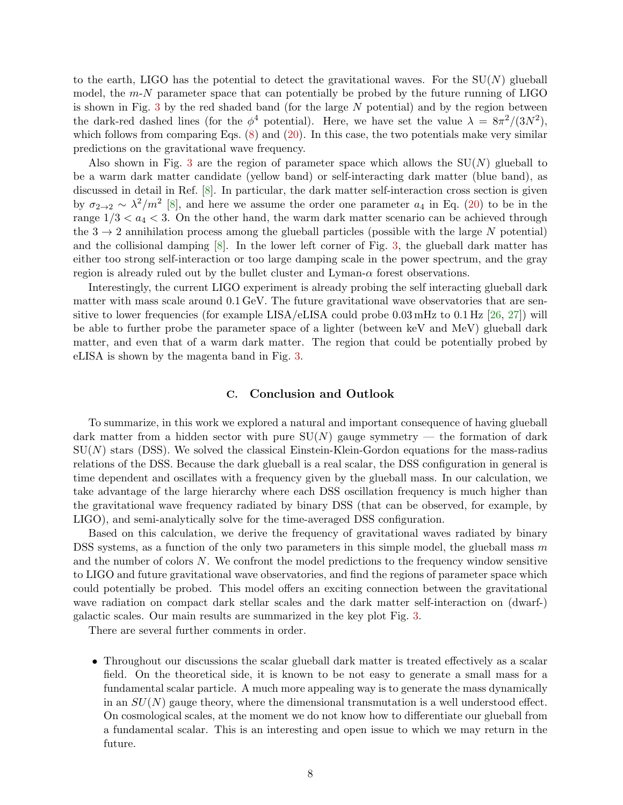to the earth, LIGO has the potential to detect the gravitational waves. For the  $SU(N)$  glueball model, the  $m-N$  parameter space that can potentially be probed by the future running of LIGO is shown in Fig.  $3$  by the red shaded band (for the large  $N$  potential) and by the region between the dark-red dashed lines (for the  $\phi^4$  potential). Here, we have set the value  $\lambda = 8\pi^2/(3N^2)$ , which follows from comparing Eqs.  $(8)$  and  $(20)$ . In this case, the two potentials make very similar predictions on the gravitational wave frequency.

Also shown in Fig. [3](#page-6-2) are the region of parameter space which allows the  $SU(N)$  glueball to be a warm dark matter candidate (yellow band) or self-interacting dark matter (blue band), as discussed in detail in Ref. [\[8\]](#page-9-1). In particular, the dark matter self-interaction cross section is given by  $\sigma_{2\to 2} \sim \lambda^2/m^2$  [\[8\]](#page-9-1), and here we assume the order one parameter  $a_4$  in Eq. [\(20\)](#page-3-3) to be in the range  $1/3 < a_4 < 3$ . On the other hand, the warm dark matter scenario can be achieved through the  $3 \rightarrow 2$  annihilation process among the glueball particles (possible with the large N potential) and the collisional damping  $[8]$ . In the lower left corner of Fig. [3,](#page-6-2) the glueball dark matter has either too strong self-interaction or too large damping scale in the power spectrum, and the gray region is already ruled out by the bullet cluster and Lyman- $\alpha$  forest observations.

Interestingly, the current LIGO experiment is already probing the self interacting glueball dark matter with mass scale around 0.1 GeV. The future gravitational wave observatories that are sensitive to lower frequencies (for example LISA/eLISA could probe  $0.03 \text{ mHz}$  to  $0.1 \text{ Hz}$  [\[26,](#page-9-12) [27\]](#page-9-13)) will be able to further probe the parameter space of a lighter (between keV and MeV) glueball dark matter, and even that of a warm dark matter. The region that could be potentially probed by eLISA is shown by the magenta band in Fig. [3.](#page-6-2)

## C. Conclusion and Outlook

To summarize, in this work we explored a natural and important consequence of having glueball dark matter from a hidden sector with pure  $SU(N)$  gauge symmetry — the formation of dark  $SU(N)$  stars (DSS). We solved the classical Einstein-Klein-Gordon equations for the mass-radius relations of the DSS. Because the dark glueball is a real scalar, the DSS configuration in general is time dependent and oscillates with a frequency given by the glueball mass. In our calculation, we take advantage of the large hierarchy where each DSS oscillation frequency is much higher than the gravitational wave frequency radiated by binary DSS (that can be observed, for example, by LIGO), and semi-analytically solve for the time-averaged DSS configuration.

Based on this calculation, we derive the frequency of gravitational waves radiated by binary DSS systems, as a function of the only two parameters in this simple model, the glueball mass  $m$ and the number of colors N. We confront the model predictions to the frequency window sensitive to LIGO and future gravitational wave observatories, and find the regions of parameter space which could potentially be probed. This model offers an exciting connection between the gravitational wave radiation on compact dark stellar scales and the dark matter self-interaction on (dwarf-) galactic scales. Our main results are summarized in the key plot Fig. [3.](#page-6-2)

There are several further comments in order.

• Throughout our discussions the scalar glueball dark matter is treated effectively as a scalar field. On the theoretical side, it is known to be not easy to generate a small mass for a fundamental scalar particle. A much more appealing way is to generate the mass dynamically in an  $SU(N)$  gauge theory, where the dimensional transmutation is a well understood effect. On cosmological scales, at the moment we do not know how to differentiate our glueball from a fundamental scalar. This is an interesting and open issue to which we may return in the future.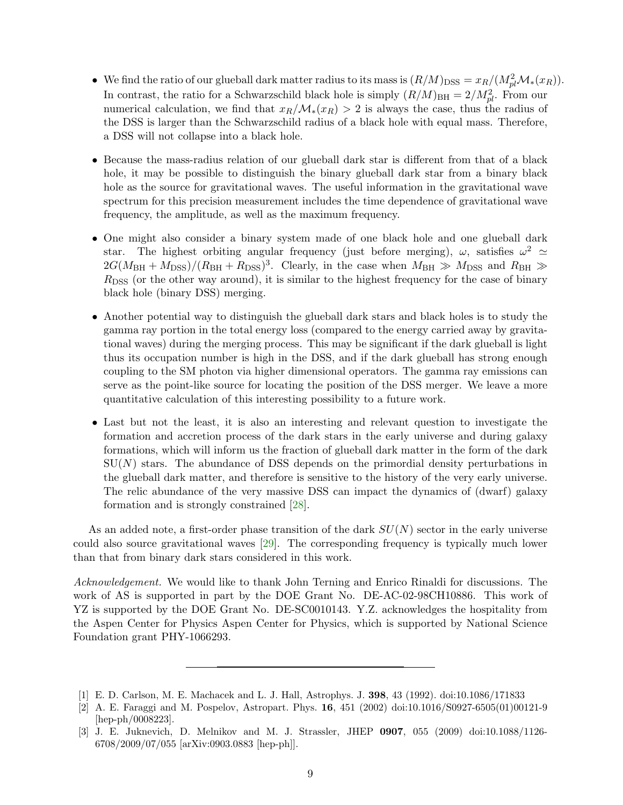- We find the ratio of our glueball dark matter radius to its mass is  $(R/M)_{\text{DSS}} = x_R/(M_{pl}^2 \mathcal{M}_*(x_R)).$ In contrast, the ratio for a Schwarzschild black hole is simply  $(R/M)_{\text{BH}} = 2/M_{pl}^2$ . From our numerical calculation, we find that  $x_R/\mathcal{M}_*(x_R) > 2$  is always the case, thus the radius of the DSS is larger than the Schwarzschild radius of a black hole with equal mass. Therefore, a DSS will not collapse into a black hole.
- Because the mass-radius relation of our glueball dark star is different from that of a black hole, it may be possible to distinguish the binary glueball dark star from a binary black hole as the source for gravitational waves. The useful information in the gravitational wave spectrum for this precision measurement includes the time dependence of gravitational wave frequency, the amplitude, as well as the maximum frequency.
- One might also consider a binary system made of one black hole and one glueball dark star. The highest orbiting angular frequency (just before merging),  $\omega$ , satisfies  $\omega^2 \simeq$  $2G(M_{\rm BH}+M_{\rm DSS})/(R_{\rm BH}+R_{\rm DSS})^3$ . Clearly, in the case when  $M_{\rm BH} \gg M_{\rm DSS}$  and  $R_{\rm BH} \gg$  $R<sub>DSS</sub>$  (or the other way around), it is similar to the highest frequency for the case of binary black hole (binary DSS) merging.
- Another potential way to distinguish the glueball dark stars and black holes is to study the gamma ray portion in the total energy loss (compared to the energy carried away by gravitational waves) during the merging process. This may be significant if the dark glueball is light thus its occupation number is high in the DSS, and if the dark glueball has strong enough coupling to the SM photon via higher dimensional operators. The gamma ray emissions can serve as the point-like source for locating the position of the DSS merger. We leave a more quantitative calculation of this interesting possibility to a future work.
- Last but not the least, it is also an interesting and relevant question to investigate the formation and accretion process of the dark stars in the early universe and during galaxy formations, which will inform us the fraction of glueball dark matter in the form of the dark  $SU(N)$  stars. The abundance of DSS depends on the primordial density perturbations in the glueball dark matter, and therefore is sensitive to the history of the very early universe. The relic abundance of the very massive DSS can impact the dynamics of (dwarf) galaxy formation and is strongly constrained [\[28\]](#page-9-14).

As an added note, a first-order phase transition of the dark  $SU(N)$  sector in the early universe could also source gravitational waves [\[29\]](#page-9-15). The corresponding frequency is typically much lower than that from binary dark stars considered in this work.

Acknowledgement. We would like to thank John Terning and Enrico Rinaldi for discussions. The work of AS is supported in part by the DOE Grant No. DE-AC-02-98CH10886. This work of YZ is supported by the DOE Grant No. DE-SC0010143. Y.Z. acknowledges the hospitality from the Aspen Center for Physics Aspen Center for Physics, which is supported by National Science Foundation grant PHY-1066293.

<span id="page-8-0"></span>[1] E. D. Carlson, M. E. Machacek and L. J. Hall, Astrophys. J. 398, 43 (1992). doi:10.1086/171833

<sup>[2]</sup> A. E. Faraggi and M. Pospelov, Astropart. Phys. 16, 451 (2002) doi:10.1016/S0927-6505(01)00121-9 [hep-ph/0008223].

<sup>[3]</sup> J. E. Juknevich, D. Melnikov and M. J. Strassler, JHEP 0907, 055 (2009) doi:10.1088/1126- 6708/2009/07/055 [arXiv:0903.0883 [hep-ph]].